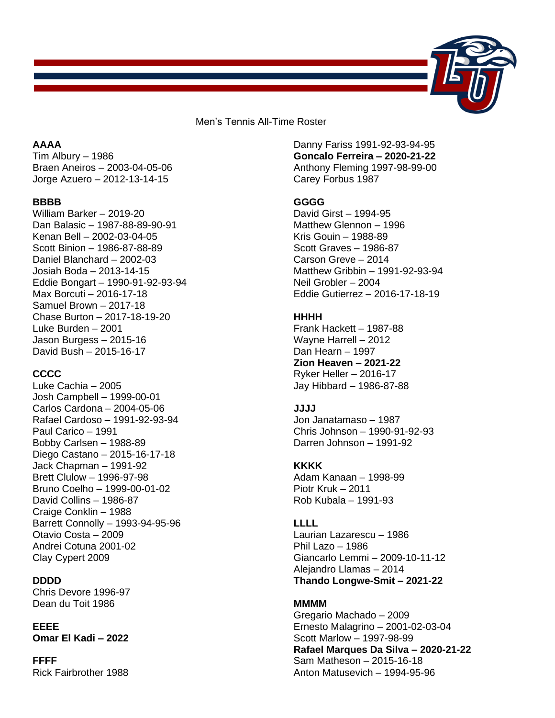

Men's Tennis All-Time Roster

# **AAAA**

Tim Albury – 1986 Braen Aneiros – 2003-04-05-06 Jorge Azuero – 2012-13-14-15

#### **BBBB**

William Barker – 2019-20 Dan Balasic – 1987-88-89-90-91 Kenan Bell – 2002-03-04-05 Scott Binion – 1986-87-88-89 Daniel Blanchard – 2002-03 Josiah Boda – 2013-14-15 Eddie Bongart – 1990-91-92-93-94 Max Borcuti – 2016-17-18 Samuel Brown – 2017-18 Chase Burton – 2017-18-19-20 Luke Burden – 2001 Jason Burgess – 2015-16 David Bush – 2015-16-17

# **CCCC**

Luke Cachia – 2005 Josh Campbell – 1999-00-01 Carlos Cardona – 2004-05-06 Rafael Cardoso – 1991-92-93-94 Paul Carico – 1991 Bobby Carlsen – 1988-89 Diego Castano – 2015-16-17-18 Jack Chapman – 1991-92 Brett Clulow – 1996-97-98 Bruno Coelho – 1999-00-01-02 David Collins – 1986-87 Craige Conklin – 1988 Barrett Connolly – 1993-94-95-96 Otavio Costa – 2009 Andrei Cotuna 2001-02 Clay Cypert 2009

## **DDDD**

Chris Devore 1996-97 Dean du Toit 1986

#### **EEEE**

**Omar El Kadi – 2022** 

**FFFF** Rick Fairbrother 1988 Danny Fariss 1991-92-93-94-95 **Goncalo Ferreira – 2020-21-22** Anthony Fleming 1997-98-99-00 Carey Forbus 1987

# **GGGG**

David Girst – 1994-95 Matthew Glennon – 1996 Kris Gouin – 1988-89 Scott Graves – 1986-87 Carson Greve – 2014 Matthew Gribbin – 1991-92-93-94 Neil Grobler – 2004 Eddie Gutierrez – 2016-17-18-19

# **HHHH**

Frank Hackett – 1987-88 Wayne Harrell – 2012 Dan Hearn – 1997 **Zion Heaven – 2021-22** Ryker Heller – 2016-17 Jay Hibbard – 1986-87-88

# **JJJJ**

Jon Janatamaso – 1987 Chris Johnson – 1990-91-92-93 Darren Johnson – 1991-92

# **KKKK**

Adam Kanaan – 1998-99 Piotr Kruk – 2011 Rob Kubala – 1991-93

# **LLLL**

Laurian Lazarescu – 1986 Phil Lazo – 1986 Giancarlo Lemmi – 2009-10-11-12 Alejandro Llamas – 2014 **Thando Longwe-Smit – 2021-22**

# **MMMM**

Gregario Machado – 2009 Ernesto Malagrino – 2001-02-03-04 Scott Marlow – 1997-98-99 **Rafael Marques Da Silva – 2020-21-22** Sam Matheson – 2015-16-18 Anton Matusevich – 1994-95-96